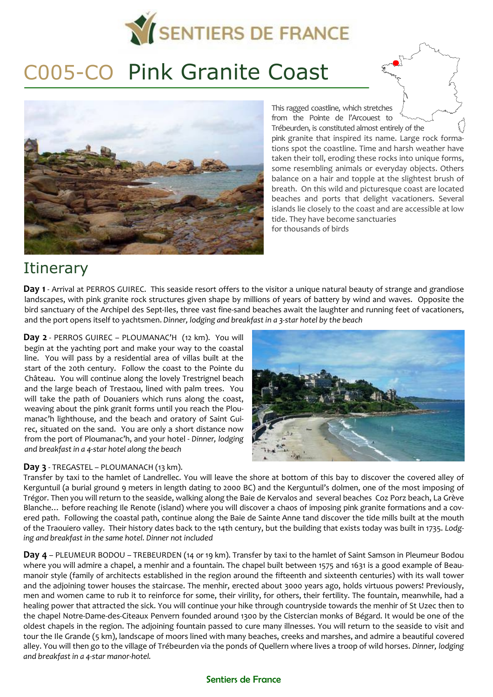

# C005-CO Pink Granite Coast



This ragged coastline, which stretches from the Pointe de l'Arcouest to Trébeurden, is constituted almost entirely of the pink granite that inspired its name. Large rock formations spot the coastline. Time and harsh weather have taken their toll, eroding these rocks into unique forms, some resembling animals or everyday objects. Others balance on a hair and topple at the slightest brush of breath. On this wild and picturesque coast are located beaches and ports that delight vacationers. Several islands lie closely to the coast and are accessible at low tide. They have become sanctuaries for thousands of birds

# **Itinerary**

**Day 1** - Arrival at PERROS GUIREC. This seaside resort offers to the visitor a unique natural beauty of strange and grandiose landscapes, with pink granite rock structures given shape by millions of years of battery by wind and waves. Opposite the bird sanctuary of the Archipel des Sept-Iles, three vast fine-sand beaches await the laughter and running feet of vacationers, and the port opens itself to yachtsmen. *Dinner, lodging and breakfast in a 3-star hotel by the beach*

**Day 2** - PERROS GUIREC – PLOUMANAC'H (12 km). You will begin at the yachting port and make your way to the coastal line. You will pass by a residential area of villas built at the start of the 20th century. Follow the coast to the Pointe du Château. You will continue along the lovely Trestrignel beach and the large beach of Trestaou, lined with palm trees. You will take the path of Douaniers which runs along the coast, weaving about the pink granit forms until you reach the Ploumanac'h lighthouse, and the beach and oratory of Saint Guirec, situated on the sand. You are only a short distance now from the port of Ploumanac'h, and your hotel - *Dinner, lodging and breakfast in a 4-star hotel along the beach*

#### **Day 3** - TREGASTEL – PLOUMANACH (13 km).



Transfer by taxi to the hamlet of Landrellec. You will leave the shore at bottom of this bay to discover the covered alley of Kerguntuil (a burial ground 9 meters in length dating to 2000 BC) and the Kerguntuil's dolmen, one of the most imposing of Trégor. Then you will return to the seaside, walking along the Baie de Kervalos and several beaches Coz Porz beach, La Grève Blanche… before reaching Ile Renote (island) where you will discover a chaos of imposing pink granite formations and a covered path. Following the coastal path, continue along the Baie de Sainte Anne tand discover the tide mills built at the mouth of the Traouiero valley. Their history dates back to the 14th century, but the building that exists today was built in 1735. *Lodging and breakfast in the same hotel. Dinner not included*

**Day 4** – PLEUMEUR BODOU – TREBEURDEN (14 or 19 km). Transfer by taxi to the hamlet of Saint Samson in Pleumeur Bodou where you will admire a chapel, a menhir and a fountain. The chapel built between 1575 and 1631 is a good example of Beaumanoir style (family of architects established in the region around the fifteenth and sixteenth centuries) with its wall tower and the adjoining tower houses the staircase. The menhir, erected about 3000 years ago, holds virtuous powers! Previously, men and women came to rub it to reinforce for some, their virility, for others, their fertility. The fountain, meanwhile, had a healing power that attracted the sick. You will continue your hike through countryside towards the menhir of St Uzec then to the chapel Notre-Dame-des-Citeaux Penvern founded around 1300 by the Cistercian monks of Bégard. It would be one of the oldest chapels in the region. The adjoining fountain passed to cure many illnesses. You will return to the seaside to visit and tour the Ile Grande (5 km), landscape of moors lined with many beaches, creeks and marshes, and admire a beautiful covered alley. You will then go to the village of Trébeurden via the ponds of Quellern where lives a troop of wild horses. *Dinner, lodging and breakfast in a 4-star manor-hotel.* 

#### Sentiers de France